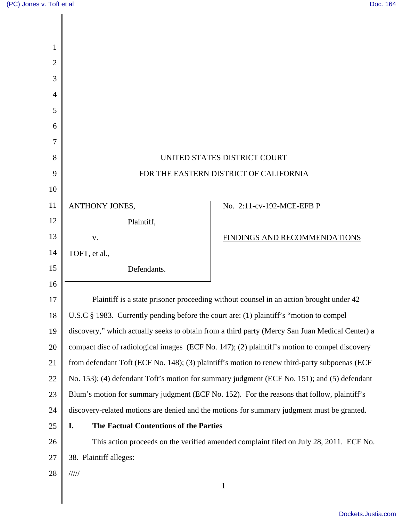| 1              |                                                                                         |                                                                                                 |
|----------------|-----------------------------------------------------------------------------------------|-------------------------------------------------------------------------------------------------|
| $\overline{2}$ |                                                                                         |                                                                                                 |
| 3              |                                                                                         |                                                                                                 |
| 4              |                                                                                         |                                                                                                 |
| 5              |                                                                                         |                                                                                                 |
| 6              |                                                                                         |                                                                                                 |
| 7              |                                                                                         |                                                                                                 |
| 8              |                                                                                         | UNITED STATES DISTRICT COURT                                                                    |
| 9              |                                                                                         | FOR THE EASTERN DISTRICT OF CALIFORNIA                                                          |
| 10             |                                                                                         |                                                                                                 |
| 11             | ANTHONY JONES,                                                                          | No. 2:11-cv-192-MCE-EFB P                                                                       |
| 12             | Plaintiff,                                                                              |                                                                                                 |
| 13             | V.                                                                                      | FINDINGS AND RECOMMENDATIONS                                                                    |
| 14             | TOFT, et al.,                                                                           |                                                                                                 |
| 15             | Defendants.                                                                             |                                                                                                 |
| 16             |                                                                                         |                                                                                                 |
| 17             |                                                                                         | Plaintiff is a state prisoner proceeding without counsel in an action brought under 42          |
| 18             | U.S.C § 1983. Currently pending before the court are: (1) plaintiff's "motion to compel |                                                                                                 |
| 19             |                                                                                         | discovery," which actually seeks to obtain from a third party (Mercy San Juan Medical Center) a |
| 20             |                                                                                         | compact disc of radiological images (ECF No. 147); (2) plaintiff's motion to compel discovery   |
| 21             |                                                                                         | from defendant Toft (ECF No. 148); (3) plaintiff's motion to renew third-party subpoenas (ECF   |
| 22             |                                                                                         | No. 153); (4) defendant Toft's motion for summary judgment (ECF No. 151); and (5) defendant     |
| 23             |                                                                                         | Blum's motion for summary judgment (ECF No. 152). For the reasons that follow, plaintiff's      |
| 24             |                                                                                         | discovery-related motions are denied and the motions for summary judgment must be granted.      |
| 25             | I.<br>The Factual Contentions of the Parties                                            |                                                                                                 |
| 26             |                                                                                         | This action proceeds on the verified amended complaint filed on July 28, 2011. ECF No.          |
| 27             | 38. Plaintiff alleges:                                                                  |                                                                                                 |
| 28             | 11111                                                                                   |                                                                                                 |
|                |                                                                                         | $\mathbf{1}$                                                                                    |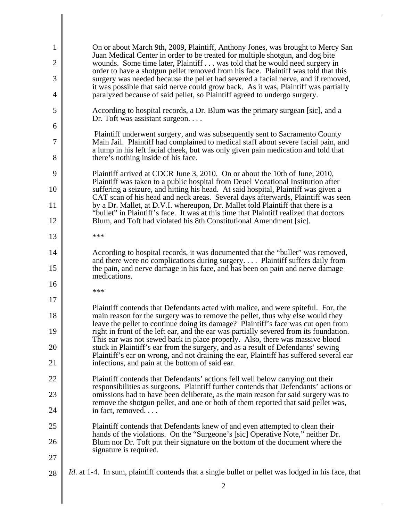| 1              | On or about March 9th, 2009, Plaintiff, Anthony Jones, was brought to Mercy San                                                                                                                                                                  |
|----------------|--------------------------------------------------------------------------------------------------------------------------------------------------------------------------------------------------------------------------------------------------|
| $\overline{2}$ | Juan Medical Center in order to be treated for multiple shotgun, and dog bite<br>wounds. Some time later, Plaintiff was told that he would need surgery in<br>order to have a shotgun pellet removed from his face. Plaintiff was told that this |
| 3              | surgery was needed because the pellet had severed a facial nerve, and if removed,                                                                                                                                                                |
| 4              | it was possible that said nerve could grow back. As it was, Plaintiff was partially<br>paralyzed because of said pellet, so Plaintiff agreed to undergo surgery.                                                                                 |
| 5              | According to hospital records, a Dr. Blum was the primary surgean [sic], and a<br>Dr. Toft was assistant surgeon                                                                                                                                 |
| 6              | Plaintiff underwent surgery, and was subsequently sent to Sacramento County                                                                                                                                                                      |
| 7              | Main Jail. Plaintiff had complained to medical staff about severe facial pain, and<br>a lump in his left facial cheek, but was only given pain medication and told that                                                                          |
| 8              | there's nothing inside of his face.                                                                                                                                                                                                              |
| 9              | Plaintiff arrived at CDCR June 3, 2010. On or about the 10th of June, 2010,<br>Plaintiff was taken to a public hospital from Deuel Vocational Institution after                                                                                  |
| 10             | suffering a seizure, and hitting his head. At said hospital, Plaintiff was given a<br>CAT scan of his head and neck areas. Several days afterwards, Plaintiff was seen                                                                           |
| 11             | by a Dr. Mallet, at D.V.I. whereupon, Dr. Mallet told Plaintiff that there is a<br>"bullet" in Plaintiff's face. It was at this time that Plaintiff realized that doctors                                                                        |
| 12             | Blum, and Toft had violated his 8th Constitutional Amendment [sic].                                                                                                                                                                              |
| 13             | ***                                                                                                                                                                                                                                              |
| 14             | According to hospital records, it was documented that the "bullet" was removed,                                                                                                                                                                  |
| 15             | and there were no complications during surgery Plaintiff suffers daily from<br>the pain, and nerve damage in his face, and has been on pain and nerve damage<br>medications.                                                                     |
| 16             | ***                                                                                                                                                                                                                                              |
| 17             | Plaintiff contends that Defendants acted with malice, and were spiteful. For, the                                                                                                                                                                |
| 18             | main reason for the surgery was to remove the pellet, thus why else would they<br>leave the pellet to continue doing its damage? Plaintiff's face was cut open from                                                                              |
| 19             | right in front of the left ear, and the ear was partially severed from its foundation.<br>This ear was not sewed back in place properly. Also, there was massive blood                                                                           |
| 20<br>21       | stuck in Plaintiff's ear from the surgery, and as a result of Defendants' sewing<br>Plaintiff's ear on wrong, and not draining the ear, Plaintiff has suffered several ear<br>infections, and pain at the bottom of said ear.                    |
| 22             | Plaintiff contends that Defendants' actions fell well below carrying out their                                                                                                                                                                   |
| 23             | responsibilities as surgeons. Plaintiff further contends that Defendants' actions or<br>omissions had to have been deliberate, as the main reason for said surgery was to                                                                        |
| 24             | remove the shotgun pellet, and one or both of them reported that said pellet was,<br>in fact, removed                                                                                                                                            |
| 25             | Plaintiff contends that Defendants knew of and even attempted to clean their                                                                                                                                                                     |
| 26             | hands of the violations. On the "Surgeone's [sic] Operative Note," neither Dr.<br>Blum nor Dr. Toft put their signature on the bottom of the document where the                                                                                  |
| 27             | signature is required.                                                                                                                                                                                                                           |
| 28             | <i>Id.</i> at 1-4. In sum, plaintiff contends that a single bullet or pellet was lodged in his face, that                                                                                                                                        |
|                | 2                                                                                                                                                                                                                                                |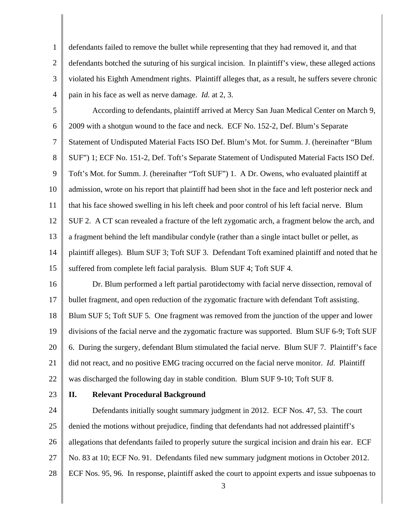1 2 3 4 defendants failed to remove the bullet while representing that they had removed it, and that defendants botched the suturing of his surgical incision. In plaintiff's view, these alleged actions violated his Eighth Amendment rights. Plaintiff alleges that, as a result, he suffers severe chronic pain in his face as well as nerve damage. *Id.* at 2, 3.

5 6 7 8 9 10 11 12 13 14 15 According to defendants, plaintiff arrived at Mercy San Juan Medical Center on March 9, 2009 with a shotgun wound to the face and neck. ECF No. 152-2, Def. Blum's Separate Statement of Undisputed Material Facts ISO Def. Blum's Mot. for Summ. J. (hereinafter "Blum SUF") 1; ECF No. 151-2, Def. Toft's Separate Statement of Undisputed Material Facts ISO Def. Toft's Mot. for Summ. J. (hereinafter "Toft SUF") 1. A Dr. Owens, who evaluated plaintiff at admission, wrote on his report that plaintiff had been shot in the face and left posterior neck and that his face showed swelling in his left cheek and poor control of his left facial nerve. Blum SUF 2. A CT scan revealed a fracture of the left zygomatic arch, a fragment below the arch, and a fragment behind the left mandibular condyle (rather than a single intact bullet or pellet, as plaintiff alleges). Blum SUF 3; Toft SUF 3. Defendant Toft examined plaintiff and noted that he suffered from complete left facial paralysis. Blum SUF 4; Toft SUF 4.

16 17 18 19 20 21 22 Dr. Blum performed a left partial parotidectomy with facial nerve dissection, removal of bullet fragment, and open reduction of the zygomatic fracture with defendant Toft assisting. Blum SUF 5; Toft SUF 5. One fragment was removed from the junction of the upper and lower divisions of the facial nerve and the zygomatic fracture was supported. Blum SUF 6-9; Toft SUF 6. During the surgery, defendant Blum stimulated the facial nerve. Blum SUF 7. Plaintiff's face did not react, and no positive EMG tracing occurred on the facial nerve monitor. *Id*. Plaintiff was discharged the following day in stable condition. Blum SUF 9-10; Toft SUF 8.

23

### **II. Relevant Procedural Background**

24 25 26 27 28 Defendants initially sought summary judgment in 2012. ECF Nos. 47, 53. The court denied the motions without prejudice, finding that defendants had not addressed plaintiff's allegations that defendants failed to properly suture the surgical incision and drain his ear. ECF No. 83 at 10; ECF No. 91. Defendants filed new summary judgment motions in October 2012. ECF Nos. 95, 96. In response, plaintiff asked the court to appoint experts and issue subpoenas to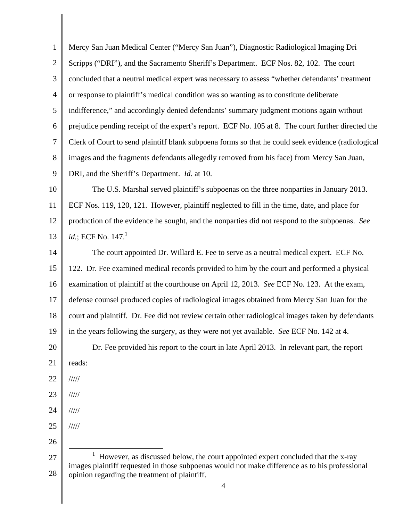1 2 3 4 5 6 7 8 9 10 11 12 13 14 15 16 17 18 19 20 21 22 23 24 25 26 27 28 4 Mercy San Juan Medical Center ("Mercy San Juan"), Diagnostic Radiological Imaging Dri Scripps ("DRI"), and the Sacramento Sheriff's Department. ECF Nos. 82, 102. The court concluded that a neutral medical expert was necessary to assess "whether defendants' treatment or response to plaintiff's medical condition was so wanting as to constitute deliberate indifference," and accordingly denied defendants' summary judgment motions again without prejudice pending receipt of the expert's report. ECF No. 105 at 8. The court further directed the Clerk of Court to send plaintiff blank subpoena forms so that he could seek evidence (radiological images and the fragments defendants allegedly removed from his face) from Mercy San Juan, DRI, and the Sheriff's Department. *Id.* at 10. The U.S. Marshal served plaintiff's subpoenas on the three nonparties in January 2013. ECF Nos. 119, 120, 121. However, plaintiff neglected to fill in the time, date, and place for production of the evidence he sought, and the nonparties did not respond to the subpoenas. *See id.*; ECF No. 147.<sup>1</sup> The court appointed Dr. Willard E. Fee to serve as a neutral medical expert. ECF No. 122. Dr. Fee examined medical records provided to him by the court and performed a physical examination of plaintiff at the courthouse on April 12, 2013. *See* ECF No. 123. At the exam, defense counsel produced copies of radiological images obtained from Mercy San Juan for the court and plaintiff. Dr. Fee did not review certain other radiological images taken by defendants in the years following the surgery, as they were not yet available. *See* ECF No. 142 at 4. Dr. Fee provided his report to the court in late April 2013. In relevant part, the report reads: ///// ///// ///// /////  $\overline{a}$ <sup>1</sup> However, as discussed below, the court appointed expert concluded that the x-ray images plaintiff requested in those subpoenas would not make difference as to his professional opinion regarding the treatment of plaintiff.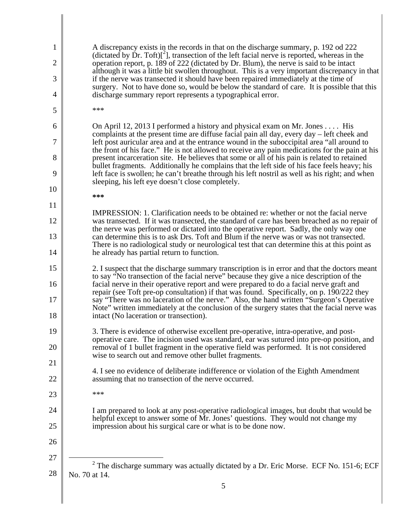| 1              | A discrepancy exists in the records in that on the discharge summary, p. 192 od 222<br>(dictated by Dr. Toft) $[^2$ ], transection of the left facial nerve is reported, whereas in the                                          |
|----------------|----------------------------------------------------------------------------------------------------------------------------------------------------------------------------------------------------------------------------------|
| $\overline{2}$ | operation report, p. 189 of 222 (dictated by Dr. Blum), the nerve is said to be intact<br>although it was a little bit swollen throughout. This is a very important discrepancy in that                                          |
| 3              | if the nerve was transected it should have been repaired immediately at the time of<br>surgery. Not to have done so, would be below the standard of care. It is possible that this                                               |
| 4              | discharge summary report represents a typographical error.                                                                                                                                                                       |
| 5              | ***                                                                                                                                                                                                                              |
| 6              | On April 12, 2013 I performed a history and physical exam on Mr. Jones  His<br>complaints at the present time are diffuse facial pain all day, every day – left cheek and                                                        |
| 7              | left post auricular area and at the entrance wound in the suboccipital area "all around to<br>the front of his face." He is not allowed to receive any pain medications for the pain at his                                      |
| 8              | present incarceration site. He believes that some or all of his pain is related to retained<br>bullet fragments. Additionally he complains that the left side of his face feels heavy; his                                       |
| 9              | left face is swollen; he can't breathe through his left nostril as well as his right; and when<br>sleeping, his left eye doesn't close completely.                                                                               |
| 10             | ***                                                                                                                                                                                                                              |
| 11             | IMPRESSION: 1. Clarification needs to be obtained re: whether or not the facial nerve                                                                                                                                            |
| 12             | was transected. If it was transected, the standard of care has been breached as no repair of<br>the nerve was performed or dictated into the operative report. Sadly, the only way one                                           |
| 13             | can determine this is to ask Drs. Toft and Blum if the nerve was or was not transected.<br>There is no radiological study or neurological test that can determine this at this point as                                          |
| 14             | he already has partial return to function.                                                                                                                                                                                       |
| 15             | 2. I suspect that the discharge summary transcription is in error and that the doctors meant<br>to say "No transection of the facial nerve" because they give a nice description of the                                          |
| 16             | facial nerve in their operative report and were prepared to do a facial nerve graft and<br>repair (see Toft pre-op consultation) if that was found. Specifically, on p. 190/222 they                                             |
| 17<br>18       | say "There was no laceration of the nerve." Also, the hand written "Surgeon's Operative<br>Note" written immediately at the conclusion of the surgery states that the facial nerve was<br>intact (No laceration or transection). |
| 19             | 3. There is evidence of otherwise excellent pre-operative, intra-operative, and post-                                                                                                                                            |
| 20             | operative care. The incision used was standard, ear was sutured into pre-op position, and<br>removal of 1 bullet fragment in the operative field was performed. It is not considered                                             |
| 21             | wise to search out and remove other bullet fragments.                                                                                                                                                                            |
| 22             | 4. I see no evidence of deliberate indifference or violation of the Eighth Amendment<br>assuming that no transection of the nerve occurred.                                                                                      |
| 23             | ***                                                                                                                                                                                                                              |
| 24             | I am prepared to look at any post-operative radiological images, but doubt that would be<br>helpful except to answer some of Mr. Jones' questions. They would not change my                                                      |
| 25<br>26       | impression about his surgical care or what is to be done now.                                                                                                                                                                    |
| 27             |                                                                                                                                                                                                                                  |
| 28             | $2$ The discharge summary was actually dictated by a Dr. Eric Morse. ECF No. 151-6; ECF                                                                                                                                          |
|                | No. 70 at 14.                                                                                                                                                                                                                    |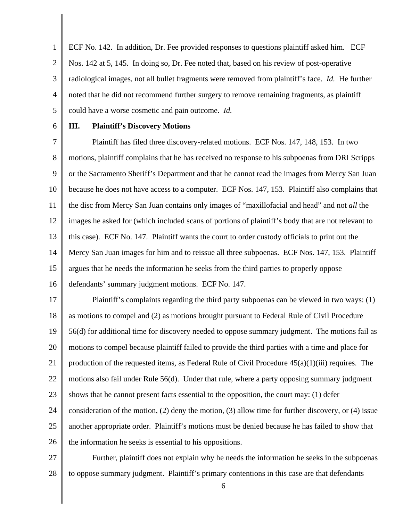1 2 3 4 5 ECF No. 142. In addition, Dr. Fee provided responses to questions plaintiff asked him. ECF Nos. 142 at 5, 145. In doing so, Dr. Fee noted that, based on his review of post-operative radiological images, not all bullet fragments were removed from plaintiff's face. *Id.* He further noted that he did not recommend further surgery to remove remaining fragments, as plaintiff could have a worse cosmetic and pain outcome. *Id.*

6

### **III. Plaintiff's Discovery Motions**

7 8 9 10 11 12 13 14 15 16 Plaintiff has filed three discovery-related motions. ECF Nos. 147, 148, 153. In two motions, plaintiff complains that he has received no response to his subpoenas from DRI Scripps or the Sacramento Sheriff's Department and that he cannot read the images from Mercy San Juan because he does not have access to a computer. ECF Nos. 147, 153. Plaintiff also complains that the disc from Mercy San Juan contains only images of "maxillofacial and head" and not *all* the images he asked for (which included scans of portions of plaintiff's body that are not relevant to this case). ECF No. 147. Plaintiff wants the court to order custody officials to print out the Mercy San Juan images for him and to reissue all three subpoenas. ECF Nos. 147, 153. Plaintiff argues that he needs the information he seeks from the third parties to properly oppose defendants' summary judgment motions. ECF No. 147.

17 18 19 20 21 22 23 24 25 26 Plaintiff's complaints regarding the third party subpoenas can be viewed in two ways: (1) as motions to compel and (2) as motions brought pursuant to Federal Rule of Civil Procedure 56(d) for additional time for discovery needed to oppose summary judgment. The motions fail as motions to compel because plaintiff failed to provide the third parties with a time and place for production of the requested items, as Federal Rule of Civil Procedure  $45(a)(1)(iii)$  requires. The motions also fail under Rule 56(d). Under that rule, where a party opposing summary judgment shows that he cannot present facts essential to the opposition, the court may: (1) defer consideration of the motion, (2) deny the motion, (3) allow time for further discovery, or (4) issue another appropriate order. Plaintiff's motions must be denied because he has failed to show that the information he seeks is essential to his oppositions.

27 28 Further, plaintiff does not explain why he needs the information he seeks in the subpoenas to oppose summary judgment. Plaintiff's primary contentions in this case are that defendants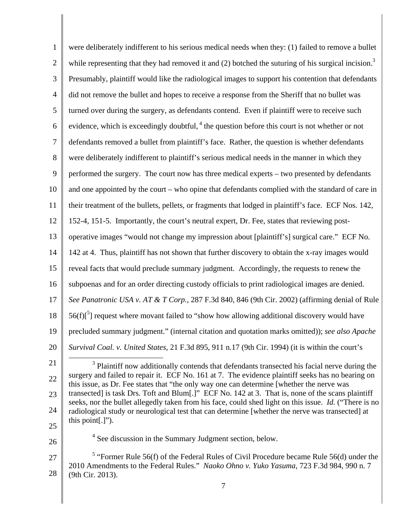| $\mathbf{1}$   | were deliberately indifferent to his serious medical needs when they: (1) failed to remove a bullet                                                                                                         |
|----------------|-------------------------------------------------------------------------------------------------------------------------------------------------------------------------------------------------------------|
| $\overline{2}$ | while representing that they had removed it and $(2)$ botched the suturing of his surgical incision. <sup>3</sup>                                                                                           |
| 3              | Presumably, plaintiff would like the radiological images to support his contention that defendants                                                                                                          |
| $\overline{4}$ | did not remove the bullet and hopes to receive a response from the Sheriff that no bullet was                                                                                                               |
| 5              | turned over during the surgery, as defendants contend. Even if plaintiff were to receive such                                                                                                               |
| 6              | evidence, which is exceedingly doubtful, $4$ the question before this court is not whether or not                                                                                                           |
| $\overline{7}$ | defendants removed a bullet from plaintiff's face. Rather, the question is whether defendants                                                                                                               |
| 8              | were deliberately indifferent to plaintiff's serious medical needs in the manner in which they                                                                                                              |
| 9              | performed the surgery. The court now has three medical experts – two presented by defendants                                                                                                                |
| 10             | and one appointed by the court – who opine that defendants complied with the standard of care in                                                                                                            |
| 11             | their treatment of the bullets, pellets, or fragments that lodged in plaintiff's face. ECF Nos. 142,                                                                                                        |
| 12             | 152-4, 151-5. Importantly, the court's neutral expert, Dr. Fee, states that reviewing post-                                                                                                                 |
| 13             | operative images "would not change my impression about [plaintiff's] surgical care." ECF No.                                                                                                                |
| 14             | 142 at 4. Thus, plaintiff has not shown that further discovery to obtain the x-ray images would                                                                                                             |
| 15             | reveal facts that would preclude summary judgment. Accordingly, the requests to renew the                                                                                                                   |
| 16             | subpoenas and for an order directing custody officials to print radiological images are denied.                                                                                                             |
| 17             | See Panatronic USA v. AT & T Corp., 287 F.3d 840, 846 (9th Cir. 2002) (affirming denial of Rule                                                                                                             |
| 18             | $56(f)$ <sup>5</sup> ] request where movant failed to "show how allowing additional discovery would have                                                                                                    |
| 19             | precluded summary judgment." (internal citation and quotation marks omitted)); see also Apache                                                                                                              |
| 20             | Survival Coal. v. United States, 21 F.3d 895, 911 n.17 (9th Cir. 1994) (it is within the court's                                                                                                            |
| 21             | <sup>3</sup> Plaintiff now additionally contends that defendants transected his facial nerve during the                                                                                                     |
| 22             | surgery and failed to repair it. ECF No. 161 at 7. The evidence plaintiff seeks has no bearing on<br>this issue, as Dr. Fee states that "the only way one can determine [whether the nerve was              |
| 23             | transected] is task Drs. Toft and Blum[.]" ECF No. 142 at 3. That is, none of the scans plaintiff<br>seeks, nor the bullet allegedly taken from his face, could shed light on this issue. Id. ("There is no |
| 24             | radiological study or neurological test that can determine [whether the nerve was transected] at                                                                                                            |
| 25             | this point $[.]$ ").                                                                                                                                                                                        |
| 26             | <sup>4</sup> See discussion in the Summary Judgment section, below.                                                                                                                                         |
| 27             | $5$ "Former Rule 56(f) of the Federal Rules of Civil Procedure became Rule 56(d) under the                                                                                                                  |
| 28             | 2010 Amendments to the Federal Rules." Naoko Ohno v. Yuko Yasuma, 723 F.3d 984, 990 n. 7<br>(9th Cir. 2013).                                                                                                |
|                | 7                                                                                                                                                                                                           |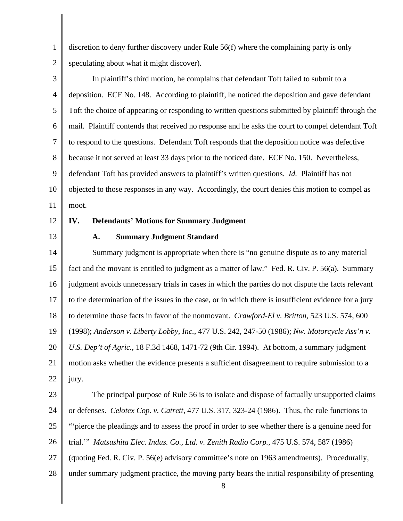1 2 discretion to deny further discovery under Rule 56(f) where the complaining party is only speculating about what it might discover).

3 4 5 6 7 8 9 10 11 In plaintiff's third motion, he complains that defendant Toft failed to submit to a deposition. ECF No. 148. According to plaintiff, he noticed the deposition and gave defendant Toft the choice of appearing or responding to written questions submitted by plaintiff through the mail. Plaintiff contends that received no response and he asks the court to compel defendant Toft to respond to the questions. Defendant Toft responds that the deposition notice was defective because it not served at least 33 days prior to the noticed date. ECF No. 150. Nevertheless, defendant Toft has provided answers to plaintiff's written questions. *Id.* Plaintiff has not objected to those responses in any way. Accordingly, the court denies this motion to compel as moot.

- 12
- 13

# **IV. Defendants' Motions for Summary Judgment**

#### **A. Summary Judgment Standard**

14 15 16 17 18 19 20 21 22 Summary judgment is appropriate when there is "no genuine dispute as to any material fact and the movant is entitled to judgment as a matter of law." Fed. R. Civ. P. 56(a). Summary judgment avoids unnecessary trials in cases in which the parties do not dispute the facts relevant to the determination of the issues in the case, or in which there is insufficient evidence for a jury to determine those facts in favor of the nonmovant. *Crawford-El v. Britton*, 523 U.S. 574, 600 (1998); *Anderson v. Liberty Lobby, Inc.*, 477 U.S. 242, 247-50 (1986); *Nw. Motorcycle Ass'n v. U.S. Dep't of Agric.*, 18 F.3d 1468, 1471-72 (9th Cir. 1994). At bottom, a summary judgment motion asks whether the evidence presents a sufficient disagreement to require submission to a jury.

23 24 25 26 27 28 The principal purpose of Rule 56 is to isolate and dispose of factually unsupported claims or defenses. *Celotex Cop. v. Catrett*, 477 U.S. 317, 323-24 (1986). Thus, the rule functions to "'pierce the pleadings and to assess the proof in order to see whether there is a genuine need for trial.'" *Matsushita Elec. Indus. Co., Ltd. v. Zenith Radio Corp.*, 475 U.S. 574, 587 (1986) (quoting Fed. R. Civ. P. 56(e) advisory committee's note on 1963 amendments). Procedurally, under summary judgment practice, the moving party bears the initial responsibility of presenting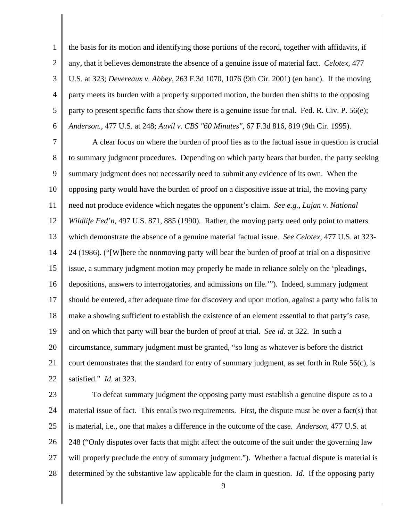1 2 3 4 5 6 the basis for its motion and identifying those portions of the record, together with affidavits, if any, that it believes demonstrate the absence of a genuine issue of material fact. *Celotex*, 477 U.S. at 323; *Devereaux v. Abbey*, 263 F.3d 1070, 1076 (9th Cir. 2001) (en banc). If the moving party meets its burden with a properly supported motion, the burden then shifts to the opposing party to present specific facts that show there is a genuine issue for trial. Fed. R. Civ. P. 56(e); *Anderson.*, 477 U.S. at 248; *Auvil v. CBS "60 Minutes"*, 67 F.3d 816, 819 (9th Cir. 1995).

7 8 9 10 11 12 13 14 15 16 17 18 19 20 21 22 A clear focus on where the burden of proof lies as to the factual issue in question is crucial to summary judgment procedures. Depending on which party bears that burden, the party seeking summary judgment does not necessarily need to submit any evidence of its own. When the opposing party would have the burden of proof on a dispositive issue at trial, the moving party need not produce evidence which negates the opponent's claim. *See e.g., Lujan v. National Wildlife Fed'n*, 497 U.S. 871, 885 (1990). Rather, the moving party need only point to matters which demonstrate the absence of a genuine material factual issue. *See Celotex*, 477 U.S. at 323- 24 (1986). ("[W]here the nonmoving party will bear the burden of proof at trial on a dispositive issue, a summary judgment motion may properly be made in reliance solely on the 'pleadings, depositions, answers to interrogatories, and admissions on file.'"). Indeed, summary judgment should be entered, after adequate time for discovery and upon motion, against a party who fails to make a showing sufficient to establish the existence of an element essential to that party's case, and on which that party will bear the burden of proof at trial. *See id.* at 322. In such a circumstance, summary judgment must be granted, "so long as whatever is before the district court demonstrates that the standard for entry of summary judgment, as set forth in Rule  $56(c)$ , is satisfied." *Id.* at 323.

23 24 25 26 27 28 To defeat summary judgment the opposing party must establish a genuine dispute as to a material issue of fact. This entails two requirements. First, the dispute must be over a fact(s) that is material, i.e., one that makes a difference in the outcome of the case. *Anderson*, 477 U.S. at 248 ("Only disputes over facts that might affect the outcome of the suit under the governing law will properly preclude the entry of summary judgment."). Whether a factual dispute is material is determined by the substantive law applicable for the claim in question. *Id.* If the opposing party

9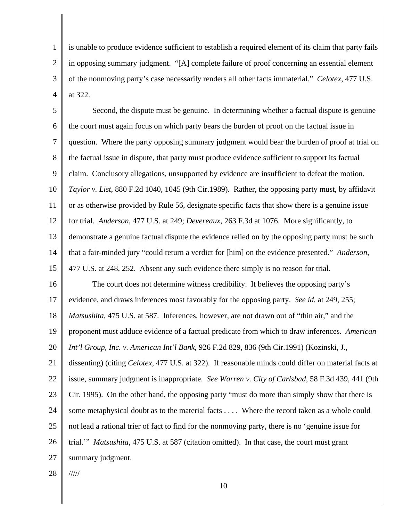1 2 3 4 is unable to produce evidence sufficient to establish a required element of its claim that party fails in opposing summary judgment. "[A] complete failure of proof concerning an essential element of the nonmoving party's case necessarily renders all other facts immaterial." *Celotex*, 477 U.S. at 322.

5 6 7 8 9 10 11 12 13 14 15 16 17 18 19 20 21 Second, the dispute must be genuine. In determining whether a factual dispute is genuine the court must again focus on which party bears the burden of proof on the factual issue in question. Where the party opposing summary judgment would bear the burden of proof at trial on the factual issue in dispute, that party must produce evidence sufficient to support its factual claim. Conclusory allegations, unsupported by evidence are insufficient to defeat the motion. *Taylor v. List*, 880 F.2d 1040, 1045 (9th Cir.1989). Rather, the opposing party must, by affidavit or as otherwise provided by Rule 56, designate specific facts that show there is a genuine issue for trial. *Anderson*, 477 U.S. at 249; *Devereaux*, 263 F.3d at 1076. More significantly, to demonstrate a genuine factual dispute the evidence relied on by the opposing party must be such that a fair-minded jury "could return a verdict for [him] on the evidence presented." *Anderson*, 477 U.S. at 248, 252. Absent any such evidence there simply is no reason for trial. The court does not determine witness credibility. It believes the opposing party's evidence, and draws inferences most favorably for the opposing party. *See id.* at 249, 255; *Matsushita*, 475 U.S. at 587. Inferences, however, are not drawn out of "thin air," and the proponent must adduce evidence of a factual predicate from which to draw inferences. *American Int'l Group, Inc. v. American Int'l Bank*, 926 F.2d 829, 836 (9th Cir.1991) (Kozinski, J., dissenting) (citing *Celotex*, 477 U.S. at 322). If reasonable minds could differ on material facts at

22 23 24 25 26 27 issue, summary judgment is inappropriate. *See Warren v. City of Carlsbad*, 58 F.3d 439, 441 (9th Cir. 1995). On the other hand, the opposing party "must do more than simply show that there is some metaphysical doubt as to the material facts . . . . Where the record taken as a whole could not lead a rational trier of fact to find for the nonmoving party, there is no 'genuine issue for trial.'" *Matsushita*, 475 U.S. at 587 (citation omitted). In that case, the court must grant summary judgment.

28 /////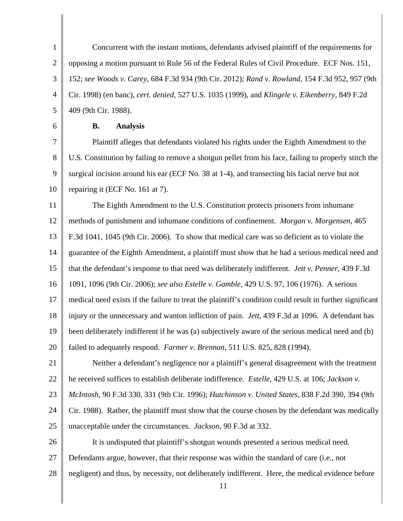1 2 3 4 5 Concurrent with the instant motions, defendants advised plaintiff of the requirements for opposing a motion pursuant to Rule 56 of the Federal Rules of Civil Procedure. ECF Nos. 151, 152; *see Woods v. Carey*, 684 F.3d 934 (9th Cir. 2012); *Rand v. Rowland*, 154 F.3d 952, 957 (9th Cir. 1998) (en banc), *cert. denied*, 527 U.S. 1035 (1999), and *Klingele v. Eikenberry*, 849 F.2d 409 (9th Cir. 1988).

6

## **B. Analysis**

7 8 9 10 Plaintiff alleges that defendants violated his rights under the Eighth Amendment to the U.S. Constitution by failing to remove a shotgun pellet from his face, failing to properly stitch the surgical incision around his ear (ECF No. 38 at 1-4), and transecting his facial nerve but not repairing it (ECF No. 161 at 7).

11 12 13 14 15 16 17 18 19 20 The Eighth Amendment to the U.S. Constitution protects prisoners from inhumane methods of punishment and inhumane conditions of confinement. *Morgan v. Morgensen*, 465 F.3d 1041, 1045 (9th Cir. 2006). To show that medical care was so deficient as to violate the guarantee of the Eighth Amendment, a plaintiff must show that he had a serious medical need and that the defendant's response to that need was deliberately indifferent. *Jett v. Penner*, 439 F.3d 1091, 1096 (9th Cir. 2006); *see also Estelle v. Gamble*, 429 U.S. 97, 106 (1976). A serious medical need exists if the failure to treat the plaintiff's condition could result in further significant injury or the unnecessary and wanton infliction of pain. *Jett*, 439 F.3d at 1096. A defendant has been deliberately indifferent if he was (a) subjectively aware of the serious medical need and (b) failed to adequately respond. *Farmer v. Brennan*, 511 U.S. 825, 828 (1994).

21 22 Neither a defendant's negligence nor a plaintiff's general disagreement with the treatment he received suffices to establish deliberate indifference. *Estelle*, 429 U.S. at 106; *Jackson v.* 

23 *McIntosh*, 90 F.3d 330, 331 (9th Cir. 1996); *Hutchinson v. United States*, 838 F.2d 390, 394 (9th

24 25 Cir. 1988). Rather, the plaintiff must show that the course chosen by the defendant was medically unacceptable under the circumstances. *Jackson*, 90 F.3d at 332.

26 It is undisputed that plaintiff's shotgun wounds presented a serious medical need.

- 27 Defendants argue, however, that their response was within the standard of care (i.e., not
- 28 negligent) and thus, by necessity, not deliberately indifferent. Here, the medical evidence before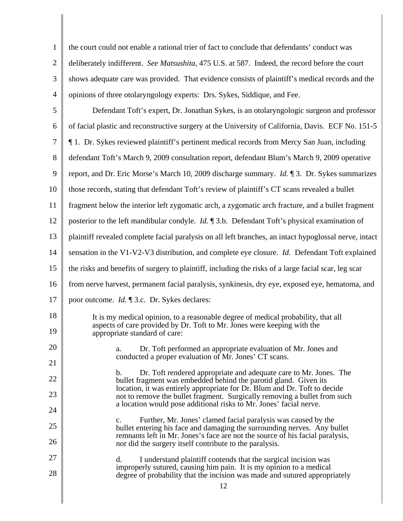| $\mathbf{1}$   | the court could not enable a rational trier of fact to conclude that defendants' conduct was                                                                |
|----------------|-------------------------------------------------------------------------------------------------------------------------------------------------------------|
| $\overline{2}$ | deliberately indifferent. See Matsushita, 475 U.S. at 587. Indeed, the record before the court                                                              |
| 3              | shows adequate care was provided. That evidence consists of plaintiff's medical records and the                                                             |
| $\overline{4}$ | opinions of three otolaryngology experts: Drs. Sykes, Siddique, and Fee.                                                                                    |
| 5              | Defendant Toft's expert, Dr. Jonathan Sykes, is an otolaryngologic surgeon and professor                                                                    |
| 6              | of facial plastic and reconstructive surgery at the University of California, Davis. ECF No. 151-5                                                          |
| 7              | 1. Dr. Sykes reviewed plaintiff's pertinent medical records from Mercy San Juan, including                                                                  |
| 8              | defendant Toft's March 9, 2009 consultation report, defendant Blum's March 9, 2009 operative                                                                |
| 9              | report, and Dr. Eric Morse's March 10, 2009 discharge summary. <i>Id.</i> 13. Dr. Sykes summarizes                                                          |
| 10             | those records, stating that defendant Toft's review of plaintiff's CT scans revealed a bullet                                                               |
| 11             | fragment below the interior left zygomatic arch, a zygomatic arch fracture, and a bullet fragment                                                           |
| 12             | posterior to the left mandibular condyle. <i>Id.</i> $\mathbb{I}$ 3.b. Defendant Toft's physical examination of                                             |
| 13             | plaintiff revealed complete facial paralysis on all left branches, an intact hypoglossal nerve, intact                                                      |
| 14             | sensation in the V1-V2-V3 distribution, and complete eye closure. <i>Id.</i> Defendant Toft explained                                                       |
| 15             | the risks and benefits of surgery to plaintiff, including the risks of a large facial scar, leg scar                                                        |
| 16             | from nerve harvest, permanent facial paralysis, synkinesis, dry eye, exposed eye, hematoma, and                                                             |
| 17             | poor outcome. <i>Id.</i> 13.c. Dr. Sykes declares:                                                                                                          |
| 18             | It is my medical opinion, to a reasonable degree of medical probability, that all                                                                           |
| 19             | aspects of care provided by Dr. Toft to Mr. Jones were keeping with the<br>appropriate standard of care:                                                    |
| 20             | Dr. Toft performed an appropriate evaluation of Mr. Jones and<br>a.                                                                                         |
| 21             | conducted a proper evaluation of Mr. Jones' CT scans.                                                                                                       |
| 22             | Dr. Toft rendered appropriate and adequate care to Mr. Jones. The<br>b.<br>bullet fragment was embedded behind the parotid gland. Given its                 |
| 23             | location, it was entirely appropriate for Dr. Blum and Dr. Toft to decide<br>not to remove the bullet fragment. Surgically removing a bullet from such      |
| 24             | a location would pose additional risks to Mr. Jones' facial nerve.                                                                                          |
| 25             | Further, Mr. Jones' clamed facial paralysis was caused by the<br>$\mathbf{c}$ .<br>bullet entering his face and damaging the surrounding nerves. Any bullet |
| 26             | remnants left in Mr. Jones's face are not the source of his facial paralysis,<br>nor did the surgery itself contribute to the paralysis.                    |
| 27             | I understand plaintiff contends that the surgical incision was<br>d.                                                                                        |
| 28             | improperly sutured, causing him pain. It is my opinion to a medical<br>degree of probability that the incision was made and sutured appropriately           |
|                | 12                                                                                                                                                          |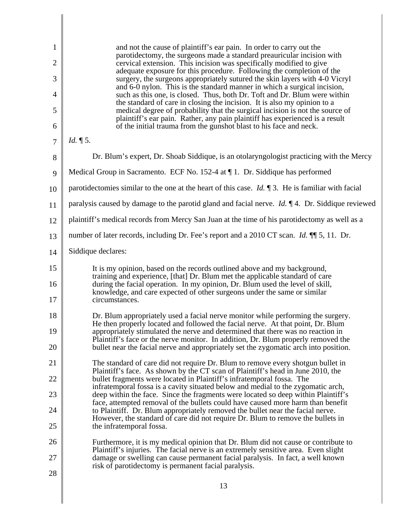| 1              | and not the cause of plaintiff's ear pain. In order to carry out the                                                                                                                                                                      |
|----------------|-------------------------------------------------------------------------------------------------------------------------------------------------------------------------------------------------------------------------------------------|
| $\overline{2}$ | parotidectomy, the surgeons made a standard preauricular incision with<br>cervical extension. This incision was specifically modified to give                                                                                             |
| 3              | adequate exposure for this procedure. Following the completion of the<br>surgery, the surgeons appropriately sutured the skin layers with 4-0 Vicryl<br>and 6-0 nylon. This is the standard manner in which a surgical incision,          |
| $\overline{4}$ | such as this one, is closed. Thus, both Dr. Toft and Dr. Blum were within<br>the standard of care in closing the incision. It is also my opinion to a                                                                                     |
| 5              | medical degree of probability that the surgical incision is not the source of<br>plaintiff's ear pain. Rather, any pain plaintiff has experienced is a result                                                                             |
| 6              | of the initial trauma from the gunshot blast to his face and neck.                                                                                                                                                                        |
| $\overline{7}$ | $Id. \P 5.$                                                                                                                                                                                                                               |
| 8              | Dr. Blum's expert, Dr. Shoab Siddique, is an otolaryngologist practicing with the Mercy                                                                                                                                                   |
| 9              | Medical Group in Sacramento. ECF No. 152-4 at $\P$ 1. Dr. Siddique has performed                                                                                                                                                          |
| 10             | parotidectomies similar to the one at the heart of this case. <i>Id.</i> $\mathbb{I}$ 3. He is familiar with facial                                                                                                                       |
| 11             | paralysis caused by damage to the parotid gland and facial nerve. <i>Id.</i> $\mathbb{I}$ 4. Dr. Siddique reviewed                                                                                                                        |
| 12             | plaintiff's medical records from Mercy San Juan at the time of his parotidectomy as well as a                                                                                                                                             |
| 13             | number of later records, including Dr. Fee's report and a 2010 CT scan. <i>Id.</i> $\P$ 5, 11. Dr.                                                                                                                                        |
| 14             | Siddique declares:                                                                                                                                                                                                                        |
| 15             | It is my opinion, based on the records outlined above and my background,                                                                                                                                                                  |
| 16             | training and experience, [that] Dr. Blum met the applicable standard of care<br>during the facial operation. In my opinion, Dr. Blum used the level of skill,<br>knowledge, and care expected of other surgeons under the same or similar |
| 17             | circumstances.                                                                                                                                                                                                                            |
| 18             | Dr. Blum appropriately used a facial nerve monitor while performing the surgery.<br>He then properly located and followed the facial nerve. At that point, Dr. Blum                                                                       |
| 19             | appropriately stimulated the nerve and determined that there was no reaction in<br>Plaintiff's face or the nerve monitor. In addition, Dr. Blum properly removed the                                                                      |
| 20             | bullet near the facial nerve and appropriately set the zygomatic arch into position.                                                                                                                                                      |
| 21             | The standard of care did not require Dr. Blum to remove every shotgun bullet in<br>Plaintiff's face. As shown by the CT scan of Plaintiff's head in June 2010, the                                                                        |
| 22             | bullet fragments were located in Plaintiff's infratemporal fossa. The<br>infratemporal fossa is a cavity situated below and medial to the zygomatic arch,                                                                                 |
| 23             | deep within the face. Since the fragments were located so deep within Plaintiff's<br>face, attempted removal of the bullets could have caused more harm than benefit                                                                      |
| 24             | to Plaintiff. Dr. Blum appropriately removed the bullet near the facial nerve.                                                                                                                                                            |
| 25             | However, the standard of care did not require Dr. Blum to remove the bullets in<br>the infratemporal fossa.                                                                                                                               |
| 26             | Furthermore, it is my medical opinion that Dr. Blum did not cause or contribute to<br>Plaintiff's injuries. The facial nerve is an extremely sensitive area. Even slight                                                                  |
| 27             | damage or swelling can cause permanent facial paralysis. In fact, a well known<br>risk of parotidectomy is permanent facial paralysis.                                                                                                    |
| 28             |                                                                                                                                                                                                                                           |
|                | 13                                                                                                                                                                                                                                        |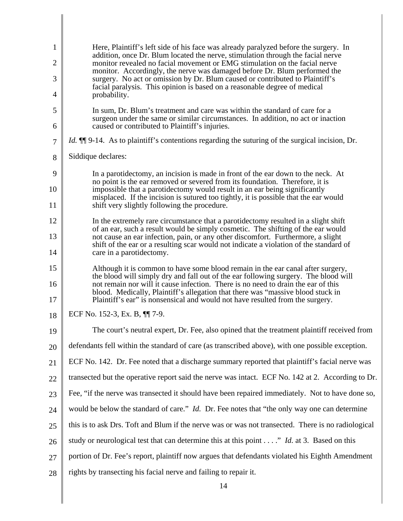| Here, Plaintiff's left side of his face was already paralyzed before the surgery. In<br>addition, once Dr. Blum located the nerve, stimulation through the facial nerve                                                                               |
|-------------------------------------------------------------------------------------------------------------------------------------------------------------------------------------------------------------------------------------------------------|
| monitor revealed no facial movement or EMG stimulation on the facial nerve<br>monitor. Accordingly, the nerve was damaged before Dr. Blum performed the                                                                                               |
| surgery. No act or omission by Dr. Blum caused or contributed to Plaintiff's<br>facial paralysis. This opinion is based on a reasonable degree of medical                                                                                             |
| probability.                                                                                                                                                                                                                                          |
| In sum, Dr. Blum's treatment and care was within the standard of care for a<br>surgeon under the same or similar circumstances. In addition, no act or inaction                                                                                       |
| caused or contributed to Plaintiff's injuries.                                                                                                                                                                                                        |
| <i>Id.</i> II 9-14. As to plaintiff's contentions regarding the suturing of the surgical incision, Dr.                                                                                                                                                |
| Siddique declares:                                                                                                                                                                                                                                    |
| In a parotidectomy, an incision is made in front of the ear down to the neck. At<br>no point is the ear removed or severed from its foundation. Therefore, it is                                                                                      |
| impossible that a parotidectomy would result in an ear being significantly<br>misplaced. If the incision is sutured too tightly, it is possible that the ear would                                                                                    |
| shift very slightly following the procedure.                                                                                                                                                                                                          |
| In the extremely rare circumstance that a parotidectomy resulted in a slight shift<br>of an ear, such a result would be simply cosmetic. The shifting of the ear would                                                                                |
| not cause an ear infection, pain, or any other discomfort. Furthermore, a slight                                                                                                                                                                      |
| shift of the ear or a resulting scar would not indicate a violation of the standard of<br>care in a parotidectomy.                                                                                                                                    |
| Although it is common to have some blood remain in the ear canal after surgery,<br>the blood will simply dry and fall out of the ear following surgery. The blood will                                                                                |
| not remain nor will it cause infection. There is no need to drain the ear of this<br>blood. Medically, Plaintiff's allegation that there was "massive blood stuck in<br>Plaintiff's ear" is nonsensical and would not have resulted from the surgery. |
| ECF No. 152-3, Ex. B, <b>[1]</b> 7-9.                                                                                                                                                                                                                 |
| The court's neutral expert, Dr. Fee, also opined that the treatment plaintiff received from                                                                                                                                                           |
| defendants fell within the standard of care (as transcribed above), with one possible exception.                                                                                                                                                      |
| ECF No. 142. Dr. Fee noted that a discharge summary reported that plaintiff's facial nerve was                                                                                                                                                        |
| transected but the operative report said the nerve was intact. ECF No. 142 at 2. According to Dr.                                                                                                                                                     |
| Fee, "if the nerve was transected it should have been repaired immediately. Not to have done so,                                                                                                                                                      |
| would be below the standard of care." <i>Id.</i> Dr. Fee notes that "the only way one can determine                                                                                                                                                   |
| this is to ask Drs. Toft and Blum if the nerve was or was not transected. There is no radiological                                                                                                                                                    |
| study or neurological test that can determine this at this point $\dots$ ." <i>Id.</i> at 3. Based on this                                                                                                                                            |
| portion of Dr. Fee's report, plaintiff now argues that defendants violated his Eighth Amendment                                                                                                                                                       |
| rights by transecting his facial nerve and failing to repair it.                                                                                                                                                                                      |
|                                                                                                                                                                                                                                                       |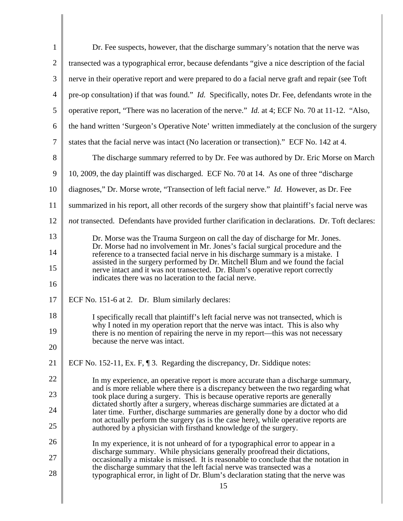| $\mathbf{1}$   | Dr. Fee suspects, however, that the discharge summary's notation that the nerve was                                                                                                                                                                |
|----------------|----------------------------------------------------------------------------------------------------------------------------------------------------------------------------------------------------------------------------------------------------|
| $\overline{2}$ | transected was a typographical error, because defendants "give a nice description of the facial                                                                                                                                                    |
| 3              | nerve in their operative report and were prepared to do a facial nerve graft and repair (see Toft                                                                                                                                                  |
| $\overline{4}$ | pre-op consultation) if that was found." <i>Id.</i> Specifically, notes Dr. Fee, defendants wrote in the                                                                                                                                           |
| 5              | operative report, "There was no laceration of the nerve." <i>Id.</i> at 4; ECF No. 70 at 11-12. "Also,                                                                                                                                             |
| 6              | the hand written 'Surgeon's Operative Note' written immediately at the conclusion of the surgery                                                                                                                                                   |
| $\overline{7}$ | states that the facial nerve was intact (No laceration or transection)." ECF No. 142 at 4.                                                                                                                                                         |
| 8              | The discharge summary referred to by Dr. Fee was authored by Dr. Eric Morse on March                                                                                                                                                               |
| 9              | 10, 2009, the day plaintiff was discharged. ECF No. 70 at 14. As one of three "discharge"                                                                                                                                                          |
| 10             | diagnoses," Dr. Morse wrote, "Transection of left facial nerve." Id. However, as Dr. Fee                                                                                                                                                           |
| 11             | summarized in his report, all other records of the surgery show that plaintiff's facial nerve was                                                                                                                                                  |
| 12             | not transected. Defendants have provided further clarification in declarations. Dr. Toft declares:                                                                                                                                                 |
| 13             | Dr. Morse was the Trauma Surgeon on call the day of discharge for Mr. Jones.                                                                                                                                                                       |
| 14             | Dr. Morse had no involvement in Mr. Jones's facial surgical procedure and the<br>reference to a transected facial nerve in his discharge summary is a mistake. I<br>assisted in the surgery performed by Dr. Mitchell Blum and we found the facial |
| 15<br>16       | nerve intact and it was not transected. Dr. Blum's operative report correctly<br>indicates there was no laceration to the facial nerve.                                                                                                            |
| 17             | ECF No. 151-6 at 2. Dr. Blum similarly declares:                                                                                                                                                                                                   |
| 18             | I specifically recall that plaintiff's left facial nerve was not transected, which is                                                                                                                                                              |
| 19             | why I noted in my operation report that the nerve was intact. This is also why<br>there is no mention of repairing the nerve in my report-this was not necessary                                                                                   |
| 20             | because the nerve was intact.                                                                                                                                                                                                                      |
| 21             | ECF No. 152-11, Ex. F, 13. Regarding the discrepancy, Dr. Siddique notes:                                                                                                                                                                          |
| 22             | In my experience, an operative report is more accurate than a discharge summary,                                                                                                                                                                   |
| 23             | and is more reliable where there is a discrepancy between the two regarding what<br>took place during a surgery. This is because operative reports are generally                                                                                   |
| 24             | dictated shortly after a surgery, whereas discharge summaries are dictated at a<br>later time. Further, discharge summaries are generally done by a doctor who did                                                                                 |
| 25             | not actually perform the surgery (as is the case here), while operative reports are<br>authored by a physician with firsthand knowledge of the surgery.                                                                                            |
| 26             | In my experience, it is not unheard of for a typographical error to appear in a                                                                                                                                                                    |
| 27             | discharge summary. While physicians generally proofread their dictations,<br>occasionally a mistake is missed. It is reasonable to conclude that the notation in                                                                                   |
| 28             | the discharge summary that the left facial nerve was transected was a<br>typographical error, in light of Dr. Blum's declaration stating that the nerve was                                                                                        |
|                | 15                                                                                                                                                                                                                                                 |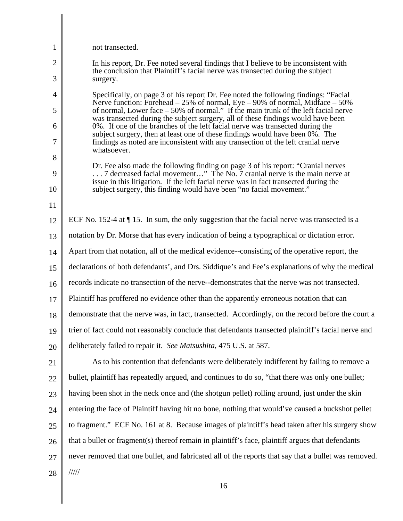| 1              | not transected.                                                                                                                                                                                                                                       |
|----------------|-------------------------------------------------------------------------------------------------------------------------------------------------------------------------------------------------------------------------------------------------------|
| 2              | In his report, Dr. Fee noted several findings that I believe to be inconsistent with                                                                                                                                                                  |
| 3              | the conclusion that Plaintiff's facial nerve was transected during the subject<br>surgery.                                                                                                                                                            |
| $\overline{4}$ | Specifically, on page 3 of his report Dr. Fee noted the following findings: "Facial"                                                                                                                                                                  |
| 5              | Nerve function: Forehead $-25\%$ of normal, Eye $-90\%$ of normal, Midface $-50\%$<br>of normal, Lower face – 50% of normal." If the main trunk of the left facial nerve                                                                              |
| 6              | was transected during the subject surgery, all of these findings would have been<br>0%. If one of the branches of the left facial nerve was transected during the                                                                                     |
| 7              | subject surgery, then at least one of these findings would have been 0%. The<br>findings as noted are inconsistent with any transection of the left cranial nerve<br>whatsoever.                                                                      |
| 8              |                                                                                                                                                                                                                                                       |
| 9              | Dr. Fee also made the following finding on page 3 of his report: "Cranial nerves<br>7 decreased facial movement" The No. 7 cranial nerve is the main nerve at<br>issue in this litigation. If the left facial nerve was in fact transected during the |
| 10             | subject surgery, this finding would have been "no facial movement."                                                                                                                                                                                   |
| 11             |                                                                                                                                                                                                                                                       |
| 12             | ECF No. 152-4 at $\P$ 15. In sum, the only suggestion that the facial nerve was transected is a                                                                                                                                                       |
| 13             | notation by Dr. Morse that has every indication of being a typographical or dictation error.                                                                                                                                                          |
| 14             | Apart from that notation, all of the medical evidence-consisting of the operative report, the                                                                                                                                                         |
| 15             | declarations of both defendants', and Drs. Siddique's and Fee's explanations of why the medical                                                                                                                                                       |
| 16             | records indicate no transection of the nerve--demonstrates that the nerve was not transected.                                                                                                                                                         |
| 17             | Plaintiff has proffered no evidence other than the apparently erroneous notation that can                                                                                                                                                             |
| 18             | demonstrate that the nerve was, in fact, transected. Accordingly, on the record before the court a                                                                                                                                                    |
| 19             | trier of fact could not reasonably conclude that defendants transected plaintiff's facial nerve and                                                                                                                                                   |
| 20             | deliberately failed to repair it. See Matsushita, 475 U.S. at 587.                                                                                                                                                                                    |
| 21             | As to his contention that defendants were deliberately indifferent by failing to remove a                                                                                                                                                             |
| 22             | bullet, plaintiff has repeatedly argued, and continues to do so, "that there was only one bullet;                                                                                                                                                     |
| 23             | having been shot in the neck once and (the shotgun pellet) rolling around, just under the skin                                                                                                                                                        |
| 24             | entering the face of Plaintiff having hit no bone, nothing that would've caused a buckshot pellet                                                                                                                                                     |
| 25             | to fragment." ECF No. 161 at 8. Because images of plaintiff's head taken after his surgery show                                                                                                                                                       |
| 26             | that a bullet or fragment(s) thereof remain in plaintiff's face, plaintiff argues that defendants                                                                                                                                                     |
| 27             | never removed that one bullet, and fabricated all of the reports that say that a bullet was removed.                                                                                                                                                  |
| 28             | 11111                                                                                                                                                                                                                                                 |
|                | 16                                                                                                                                                                                                                                                    |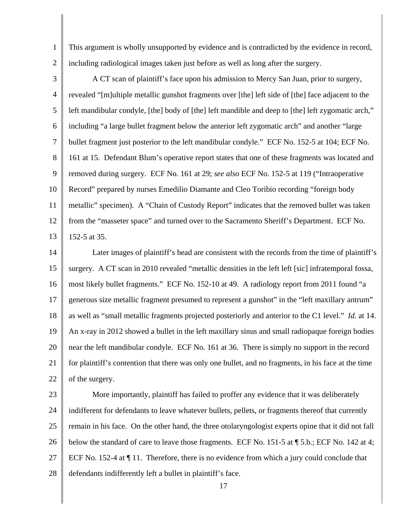1 2 This argument is wholly unsupported by evidence and is contradicted by the evidence in record, including radiological images taken just before as well as long after the surgery.

3 4 5 6 7 8 9 10 11 12 13 A CT scan of plaintiff's face upon his admission to Mercy San Juan, prior to surgery, revealed "[m]ultiple metallic gunshot fragments over [the] left side of [the] face adjacent to the left mandibular condyle, [the] body of [the] left mandible and deep to [the] left zygomatic arch," including "a large bullet fragment below the anterior left zygomatic arch" and another "large bullet fragment just posterior to the left mandibular condyle." ECF No. 152-5 at 104; ECF No. 161 at 15. Defendant Blum's operative report states that one of these fragments was located and removed during surgery. ECF No. 161 at 29; *see also* ECF No. 152-5 at 119 ("Intraoperative Record" prepared by nurses Emedilio Diamante and Cleo Toribio recording "foreign body metallic" specimen). A "Chain of Custody Report" indicates that the removed bullet was taken from the "masseter space" and turned over to the Sacramento Sheriff's Department. ECF No. 152-5 at 35.

14 15 16 17 18 19 20 21 22 Later images of plaintiff's head are consistent with the records from the time of plaintiff's surgery. A CT scan in 2010 revealed "metallic densities in the left left [sic] infratemporal fossa, most likely bullet fragments." ECF No. 152-10 at 49. A radiology report from 2011 found "a generous size metallic fragment presumed to represent a gunshot" in the "left maxillary antrum" as well as "small metallic fragments projected posteriorly and anterior to the C1 level." *Id.* at 14. An x-ray in 2012 showed a bullet in the left maxillary sinus and small radiopaque foreign bodies near the left mandibular condyle. ECF No. 161 at 36. There is simply no support in the record for plaintiff's contention that there was only one bullet, and no fragments, in his face at the time of the surgery.

- 23 24 25 26 27 28 More importantly, plaintiff has failed to proffer any evidence that it was deliberately indifferent for defendants to leave whatever bullets, pellets, or fragments thereof that currently remain in his face. On the other hand, the three otolaryngologist experts opine that it did not fall below the standard of care to leave those fragments. ECF No. 151-5 at ¶ 5.b.; ECF No. 142 at 4; ECF No. 152-4 at ¶ 11. Therefore, there is no evidence from which a jury could conclude that defendants indifferently left a bullet in plaintiff's face.
	- 17